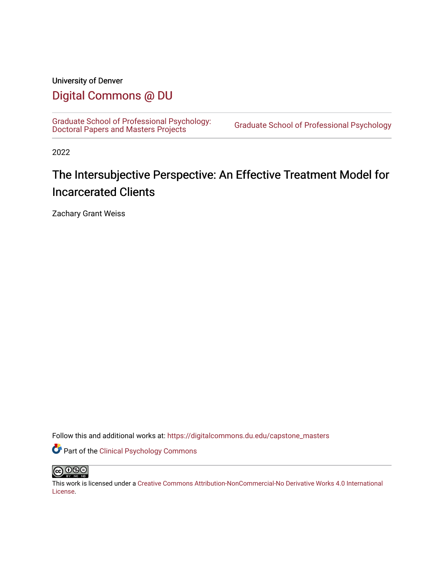# University of Denver

# [Digital Commons @ DU](https://digitalcommons.du.edu/)

[Graduate School of Professional Psychology:](https://digitalcommons.du.edu/capstone_masters)<br>Doctoral Papers and Masters Projects

Graduate School of Professional Psychology

2022

# The Intersubjective Perspective: An Effective Treatment Model for Incarcerated Clients

Zachary Grant Weiss

Follow this and additional works at: [https://digitalcommons.du.edu/capstone\\_masters](https://digitalcommons.du.edu/capstone_masters?utm_source=digitalcommons.du.edu%2Fcapstone_masters%2F450&utm_medium=PDF&utm_campaign=PDFCoverPages)

**Part of the Clinical Psychology Commons** 



This work is licensed under a [Creative Commons Attribution-NonCommercial-No Derivative Works 4.0 International](https://creativecommons.org/licenses/by-nc-nd/4.0/) [License.](https://creativecommons.org/licenses/by-nc-nd/4.0/)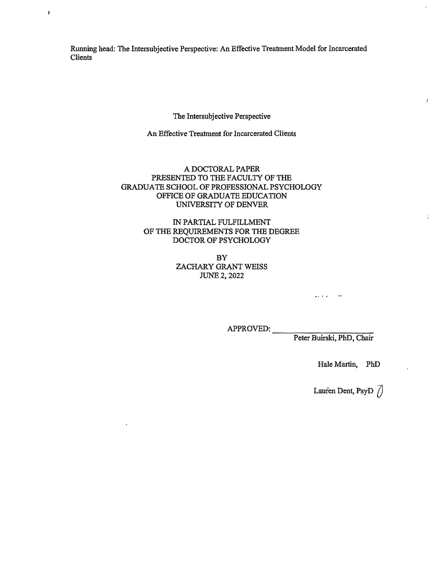$\pmb{r}$ 

The Intersubjective Perspective

An Effective Treatment for Incarcerated Clients

A DOCTORAL PAPER PRESENTED TO THE FACULTY OF THE GRADUATE SCHOOL OF PROFESSIONAL PSYCHOLOGY OFFICE OF GRADUATE EDUCATION UNIVERSITY OF DENVER

> IN PARTIAL FULFILLMENT OF THE REQUIREMENTS FOR THE DEGREE DOCTOR OF PSYCHOLOGY

> > BY ZACHARY GRANT WEISS JUNE2,2022

> > > APPROVED:

Peter Buirski, PhD, Chair

 $\ldots$  .  $-$ 

HaleMartin, PhD

 $\ell$ 

Lauren Dent, PsyD  $\sqrt{ }$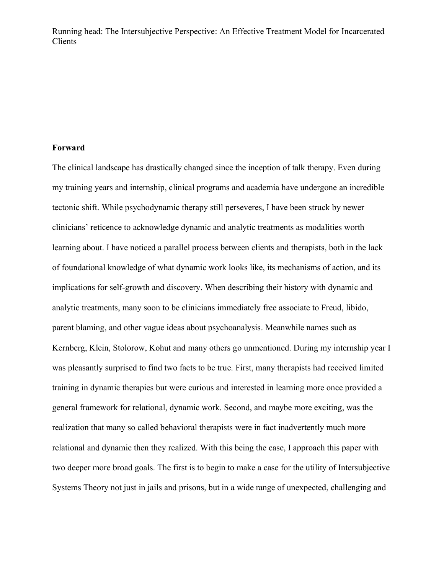# **Forward**

The clinical landscape has drastically changed since the inception of talk therapy. Even during my training years and internship, clinical programs and academia have undergone an incredible tectonic shift. While psychodynamic therapy still perseveres, I have been struck by newer clinicians' reticence to acknowledge dynamic and analytic treatments as modalities worth learning about. I have noticed a parallel process between clients and therapists, both in the lack of foundational knowledge of what dynamic work looks like, its mechanisms of action, and its implications for self-growth and discovery. When describing their history with dynamic and analytic treatments, many soon to be clinicians immediately free associate to Freud, libido, parent blaming, and other vague ideas about psychoanalysis. Meanwhile names such as Kernberg, Klein, Stolorow, Kohut and many others go unmentioned. During my internship year I was pleasantly surprised to find two facts to be true. First, many therapists had received limited training in dynamic therapies but were curious and interested in learning more once provided a general framework for relational, dynamic work. Second, and maybe more exciting, was the realization that many so called behavioral therapists were in fact inadvertently much more relational and dynamic then they realized. With this being the case, I approach this paper with two deeper more broad goals. The first is to begin to make a case for the utility of Intersubjective Systems Theory not just in jails and prisons, but in a wide range of unexpected, challenging and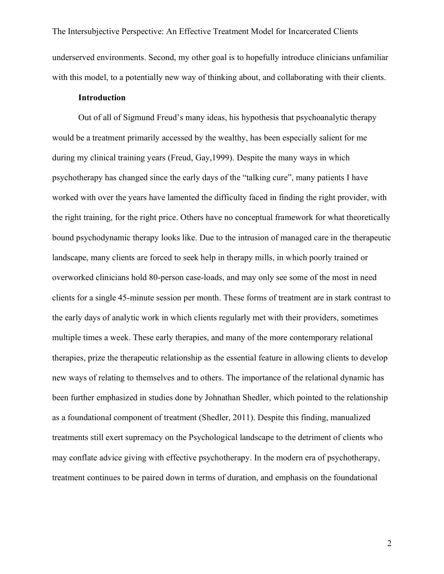The Intersubjective Perspective: An Effective Treatment Model for Incarcerated Clients underserved environments. Second, my other goal is to hopefully introduce clinicians unfamiliar with this model, to a potentially new way of thinking about, and collaborating with their clients.

# **Introduction**

Out of all of Sigmund Freud's many ideas, his hypothesis that psychoanalytic therapy would be a treatment primarily accessed by the wealthy, has been especially salient for me during my clinical training years (Freud, Gay,1999). Despite the many ways in which psychotherapy has changed since the early days of the "talking cure", many patients I have worked with over the years have lamented the difficulty faced in finding the right provider, with the right training, for the right price. Others have no conceptual framework for what theoretically bound psychodynamic therapy looks like. Due to the intrusion of managed care in the therapeutic landscape, many clients are forced to seek help in therapy mills, in which poorly trained or overworked clinicians hold 80-person case-loads, and may only see some of the most in need clients for a single 45-minute session per month. These forms of treatment are in stark contrast to the early days of analytic work in which clients regularly met with their providers, sometimes multiple times a week. These early therapies, and many of the more contemporary relational therapies, prize the therapeutic relationship as the essential feature in allowing clients to develop new ways of relating to themselves and to others. The importance of the relational dynamic has been further emphasized in studies done by Johnathan Shedler, which pointed to the relationship as a foundational component of treatment (Shedler, 2011). Despite this finding, manualized treatments still exert supremacy on the Psychological landscape to the detriment of clients who may conflate advice giving with effective psychotherapy. In the modern era of psychotherapy, treatment continues to be paired down in terms of duration, and emphasis on the foundational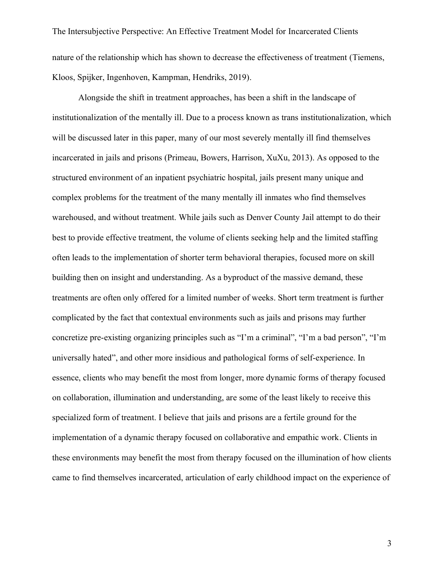The Intersubjective Perspective: An Effective Treatment Model for Incarcerated Clients nature of the relationship which has shown to decrease the effectiveness of treatment (Tiemens, Kloos, Spijker, Ingenhoven, Kampman, Hendriks, 2019).

Alongside the shift in treatment approaches, has been a shift in the landscape of institutionalization of the mentally ill. Due to a process known as trans institutionalization, which will be discussed later in this paper, many of our most severely mentally ill find themselves incarcerated in jails and prisons (Primeau, Bowers, Harrison, XuXu, 2013). As opposed to the structured environment of an inpatient psychiatric hospital, jails present many unique and complex problems for the treatment of the many mentally ill inmates who find themselves warehoused, and without treatment. While jails such as Denver County Jail attempt to do their best to provide effective treatment, the volume of clients seeking help and the limited staffing often leads to the implementation of shorter term behavioral therapies, focused more on skill building then on insight and understanding. As a byproduct of the massive demand, these treatments are often only offered for a limited number of weeks. Short term treatment is further complicated by the fact that contextual environments such as jails and prisons may further concretize pre-existing organizing principles such as "I'm a criminal", "I'm a bad person", "I'm universally hated", and other more insidious and pathological forms of self-experience. In essence, clients who may benefit the most from longer, more dynamic forms of therapy focused on collaboration, illumination and understanding, are some of the least likely to receive this specialized form of treatment. I believe that jails and prisons are a fertile ground for the implementation of a dynamic therapy focused on collaborative and empathic work. Clients in these environments may benefit the most from therapy focused on the illumination of how clients came to find themselves incarcerated, articulation of early childhood impact on the experience of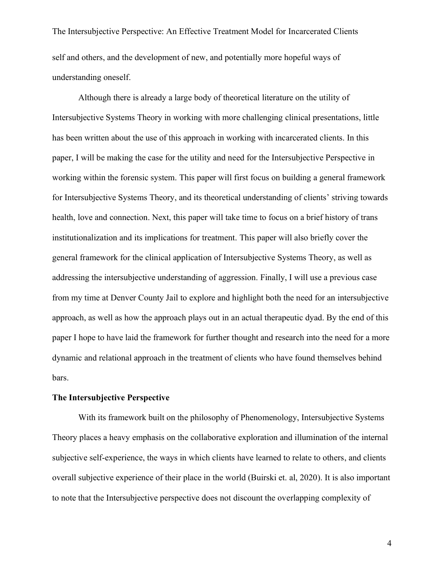The Intersubjective Perspective: An Effective Treatment Model for Incarcerated Clients self and others, and the development of new, and potentially more hopeful ways of understanding oneself.

Although there is already a large body of theoretical literature on the utility of Intersubjective Systems Theory in working with more challenging clinical presentations, little has been written about the use of this approach in working with incarcerated clients. In this paper, I will be making the case for the utility and need for the Intersubjective Perspective in working within the forensic system. This paper will first focus on building a general framework for Intersubjective Systems Theory, and its theoretical understanding of clients' striving towards health, love and connection. Next, this paper will take time to focus on a brief history of trans institutionalization and its implications for treatment. This paper will also briefly cover the general framework for the clinical application of Intersubjective Systems Theory, as well as addressing the intersubjective understanding of aggression. Finally, I will use a previous case from my time at Denver County Jail to explore and highlight both the need for an intersubjective approach, as well as how the approach plays out in an actual therapeutic dyad. By the end of this paper I hope to have laid the framework for further thought and research into the need for a more dynamic and relational approach in the treatment of clients who have found themselves behind bars.

#### **The Intersubjective Perspective**

With its framework built on the philosophy of Phenomenology, Intersubjective Systems Theory places a heavy emphasis on the collaborative exploration and illumination of the internal subjective self-experience, the ways in which clients have learned to relate to others, and clients overall subjective experience of their place in the world (Buirski et. al, 2020). It is also important to note that the Intersubjective perspective does not discount the overlapping complexity of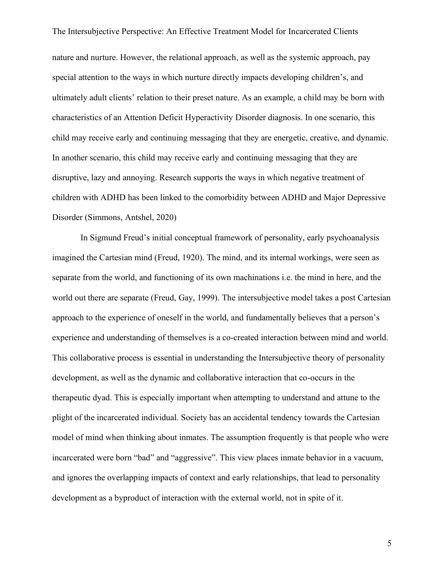The Intersubjective Perspective: An Effective Treatment Model for Incarcerated Clients nature and nurture. However, the relational approach, as well as the systemic approach, pay special attention to the ways in which nurture directly impacts developing children's, and ultimately adult clients' relation to their preset nature. As an example, a child may be born with characteristics of an Attention Deficit Hyperactivity Disorder diagnosis. In one scenario, this child may receive early and continuing messaging that they are energetic, creative, and dynamic. In another scenario, this child may receive early and continuing messaging that they are disruptive, lazy and annoying. Research supports the ways in which negative treatment of children with ADHD has been linked to the comorbidity between ADHD and Major Depressive Disorder (Simmons, Antshel, 2020)

In Sigmund Freud's initial conceptual framework of personality, early psychoanalysis imagined the Cartesian mind (Freud, 1920). The mind, and its internal workings, were seen as separate from the world, and functioning of its own machinations i.e. the mind in here, and the world out there are separate (Freud, Gay, 1999). The intersubjective model takes a post Cartesian approach to the experience of oneself in the world, and fundamentally believes that a person's experience and understanding of themselves is a co-created interaction between mind and world. This collaborative process is essential in understanding the Intersubjective theory of personality development, as well as the dynamic and collaborative interaction that co-occurs in the therapeutic dyad. This is especially important when attempting to understand and attune to the plight of the incarcerated individual. Society has an accidental tendency towards the Cartesian model of mind when thinking about inmates. The assumption frequently is that people who were incarcerated were born "bad" and "aggressive". This view places inmate behavior in a vacuum, and ignores the overlapping impacts of context and early relationships, that lead to personality development as a byproduct of interaction with the external world, not in spite of it.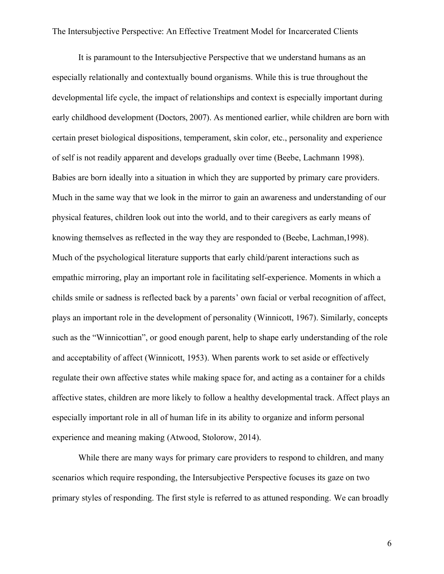It is paramount to the Intersubjective Perspective that we understand humans as an especially relationally and contextually bound organisms. While this is true throughout the developmental life cycle, the impact of relationships and context is especially important during early childhood development (Doctors, 2007). As mentioned earlier, while children are born with certain preset biological dispositions, temperament, skin color, etc., personality and experience of self is not readily apparent and develops gradually over time (Beebe, Lachmann 1998). Babies are born ideally into a situation in which they are supported by primary care providers. Much in the same way that we look in the mirror to gain an awareness and understanding of our physical features, children look out into the world, and to their caregivers as early means of knowing themselves as reflected in the way they are responded to (Beebe, Lachman,1998). Much of the psychological literature supports that early child/parent interactions such as empathic mirroring, play an important role in facilitating self-experience. Moments in which a childs smile or sadness is reflected back by a parents' own facial or verbal recognition of affect, plays an important role in the development of personality (Winnicott, 1967). Similarly, concepts such as the "Winnicottian", or good enough parent, help to shape early understanding of the role and acceptability of affect (Winnicott, 1953). When parents work to set aside or effectively regulate their own affective states while making space for, and acting as a container for a childs affective states, children are more likely to follow a healthy developmental track. Affect plays an especially important role in all of human life in its ability to organize and inform personal experience and meaning making (Atwood, Stolorow, 2014).

While there are many ways for primary care providers to respond to children, and many scenarios which require responding, the Intersubjective Perspective focuses its gaze on two primary styles of responding. The first style is referred to as attuned responding. We can broadly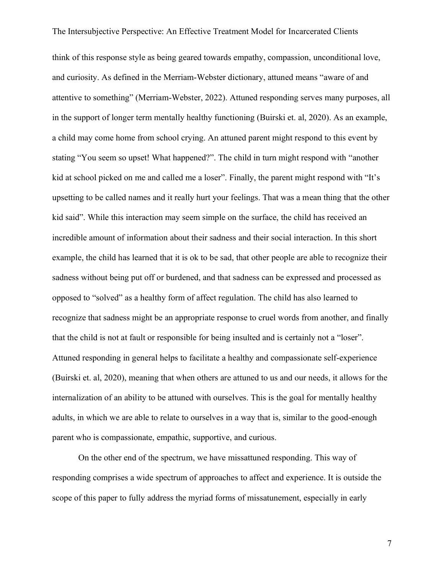think of this response style as being geared towards empathy, compassion, unconditional love, and curiosity. As defined in the Merriam-Webster dictionary, attuned means "aware of and attentive to something" (Merriam-Webster, 2022). Attuned responding serves many purposes, all in the support of longer term mentally healthy functioning (Buirski et. al, 2020). As an example, a child may come home from school crying. An attuned parent might respond to this event by stating "You seem so upset! What happened?". The child in turn might respond with "another kid at school picked on me and called me a loser". Finally, the parent might respond with "It's upsetting to be called names and it really hurt your feelings. That was a mean thing that the other kid said". While this interaction may seem simple on the surface, the child has received an incredible amount of information about their sadness and their social interaction. In this short example, the child has learned that it is ok to be sad, that other people are able to recognize their sadness without being put off or burdened, and that sadness can be expressed and processed as opposed to "solved" as a healthy form of affect regulation. The child has also learned to recognize that sadness might be an appropriate response to cruel words from another, and finally that the child is not at fault or responsible for being insulted and is certainly not a "loser". Attuned responding in general helps to facilitate a healthy and compassionate self-experience (Buirski et. al, 2020), meaning that when others are attuned to us and our needs, it allows for the internalization of an ability to be attuned with ourselves. This is the goal for mentally healthy adults, in which we are able to relate to ourselves in a way that is, similar to the good-enough parent who is compassionate, empathic, supportive, and curious.

On the other end of the spectrum, we have missattuned responding. This way of responding comprises a wide spectrum of approaches to affect and experience. It is outside the scope of this paper to fully address the myriad forms of missatunement, especially in early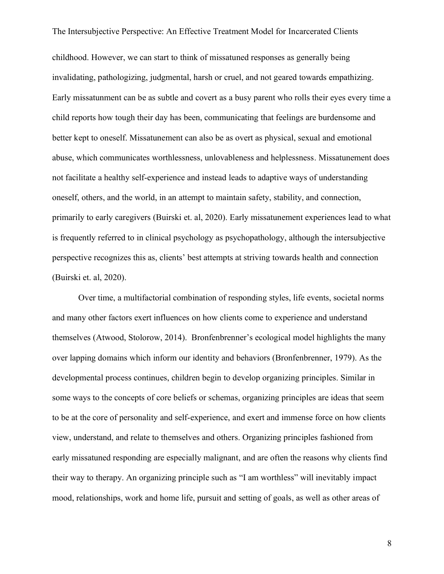The Intersubjective Perspective: An Effective Treatment Model for Incarcerated Clients childhood. However, we can start to think of missatuned responses as generally being invalidating, pathologizing, judgmental, harsh or cruel, and not geared towards empathizing. Early missatunment can be as subtle and covert as a busy parent who rolls their eyes every time a child reports how tough their day has been, communicating that feelings are burdensome and better kept to oneself. Missatunement can also be as overt as physical, sexual and emotional abuse, which communicates worthlessness, unlovableness and helplessness. Missatunement does not facilitate a healthy self-experience and instead leads to adaptive ways of understanding oneself, others, and the world, in an attempt to maintain safety, stability, and connection, primarily to early caregivers (Buirski et. al, 2020). Early missatunement experiences lead to what is frequently referred to in clinical psychology as psychopathology, although the intersubjective perspective recognizes this as, clients' best attempts at striving towards health and connection (Buirski et. al, 2020).

Over time, a multifactorial combination of responding styles, life events, societal norms and many other factors exert influences on how clients come to experience and understand themselves (Atwood, Stolorow, 2014). Bronfenbrenner's ecological model highlights the many over lapping domains which inform our identity and behaviors (Bronfenbrenner, 1979). As the developmental process continues, children begin to develop organizing principles. Similar in some ways to the concepts of core beliefs or schemas, organizing principles are ideas that seem to be at the core of personality and self-experience, and exert and immense force on how clients view, understand, and relate to themselves and others. Organizing principles fashioned from early missatuned responding are especially malignant, and are often the reasons why clients find their way to therapy. An organizing principle such as "I am worthless" will inevitably impact mood, relationships, work and home life, pursuit and setting of goals, as well as other areas of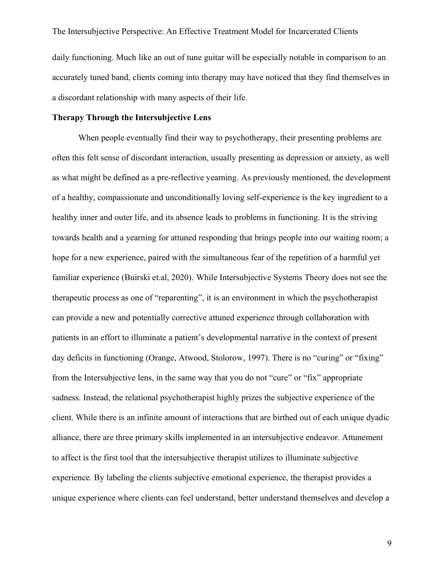daily functioning. Much like an out of tune guitar will be especially notable in comparison to an accurately tuned band, clients coming into therapy may have noticed that they find themselves in a discordant relationship with many aspects of their life.

#### **Therapy Through the Intersubjective Lens**

When people eventually find their way to psychotherapy, their presenting problems are often this felt sense of discordant interaction, usually presenting as depression or anxiety, as well as what might be defined as a pre-reflective yearning. As previously mentioned, the development of a healthy, compassionate and unconditionally loving self-experience is the key ingredient to a healthy inner and outer life, and its absence leads to problems in functioning. It is the striving towards health and a yearning for attuned responding that brings people into our waiting room; a hope for a new experience, paired with the simultaneous fear of the repetition of a harmful yet familiar experience (Buirski et.al, 2020). While Intersubjective Systems Theory does not see the therapeutic process as one of "reparenting", it is an environment in which the psychotherapist can provide a new and potentially corrective attuned experience through collaboration with patients in an effort to illuminate a patient's developmental narrative in the context of present day deficits in functioning (Orange, Atwood, Stolorow, 1997). There is no "curing" or "fixing" from the Intersubjective lens, in the same way that you do not "cure" or "fix" appropriate sadness. Instead, the relational psychotherapist highly prizes the subjective experience of the client. While there is an infinite amount of interactions that are birthed out of each unique dyadic alliance, there are three primary skills implemented in an intersubjective endeavor. Attunement to affect is the first tool that the intersubjective therapist utilizes to illuminate subjective experience. By labeling the clients subjective emotional experience, the therapist provides a unique experience where clients can feel understand, better understand themselves and develop a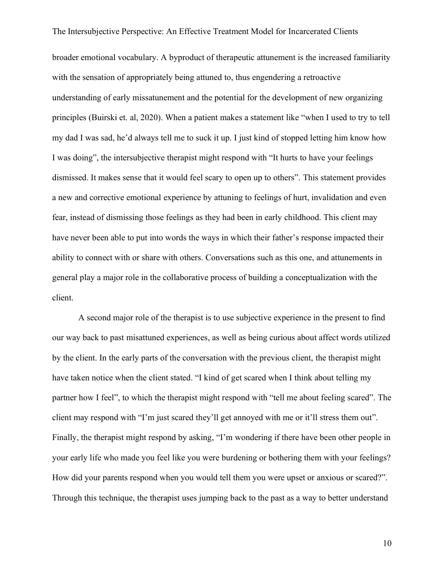broader emotional vocabulary. A byproduct of therapeutic attunement is the increased familiarity with the sensation of appropriately being attuned to, thus engendering a retroactive understanding of early missatunement and the potential for the development of new organizing principles (Buirski et. al, 2020). When a patient makes a statement like "when I used to try to tell my dad I was sad, he'd always tell me to suck it up. I just kind of stopped letting him know how I was doing", the intersubjective therapist might respond with "It hurts to have your feelings dismissed. It makes sense that it would feel scary to open up to others". This statement provides a new and corrective emotional experience by attuning to feelings of hurt, invalidation and even fear, instead of dismissing those feelings as they had been in early childhood. This client may have never been able to put into words the ways in which their father's response impacted their ability to connect with or share with others. Conversations such as this one, and attunements in general play a major role in the collaborative process of building a conceptualization with the client.

A second major role of the therapist is to use subjective experience in the present to find our way back to past misattuned experiences, as well as being curious about affect words utilized by the client. In the early parts of the conversation with the previous client, the therapist might have taken notice when the client stated. "I kind of get scared when I think about telling my partner how I feel", to which the therapist might respond with "tell me about feeling scared". The client may respond with "I'm just scared they'll get annoyed with me or it'll stress them out". Finally, the therapist might respond by asking, "I'm wondering if there have been other people in your early life who made you feel like you were burdening or bothering them with your feelings? How did your parents respond when you would tell them you were upset or anxious or scared?". Through this technique, the therapist uses jumping back to the past as a way to better understand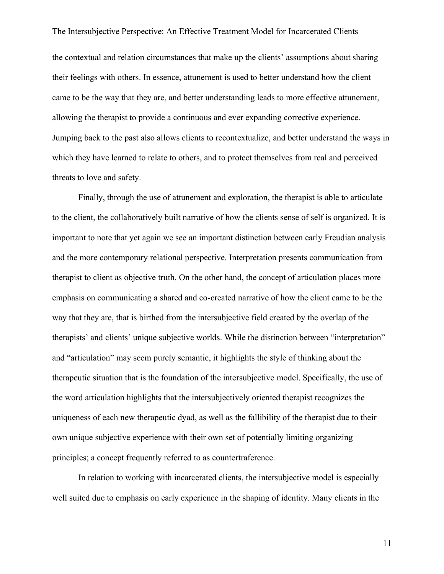The Intersubjective Perspective: An Effective Treatment Model for Incarcerated Clients the contextual and relation circumstances that make up the clients' assumptions about sharing their feelings with others. In essence, attunement is used to better understand how the client came to be the way that they are, and better understanding leads to more effective attunement, allowing the therapist to provide a continuous and ever expanding corrective experience. Jumping back to the past also allows clients to recontextualize, and better understand the ways in which they have learned to relate to others, and to protect themselves from real and perceived threats to love and safety.

Finally, through the use of attunement and exploration, the therapist is able to articulate to the client, the collaboratively built narrative of how the clients sense of self is organized. It is important to note that yet again we see an important distinction between early Freudian analysis and the more contemporary relational perspective. Interpretation presents communication from therapist to client as objective truth. On the other hand, the concept of articulation places more emphasis on communicating a shared and co-created narrative of how the client came to be the way that they are, that is birthed from the intersubjective field created by the overlap of the therapists' and clients' unique subjective worlds. While the distinction between "interpretation" and "articulation" may seem purely semantic, it highlights the style of thinking about the therapeutic situation that is the foundation of the intersubjective model. Specifically, the use of the word articulation highlights that the intersubjectively oriented therapist recognizes the uniqueness of each new therapeutic dyad, as well as the fallibility of the therapist due to their own unique subjective experience with their own set of potentially limiting organizing principles; a concept frequently referred to as countertraference.

In relation to working with incarcerated clients, the intersubjective model is especially well suited due to emphasis on early experience in the shaping of identity. Many clients in the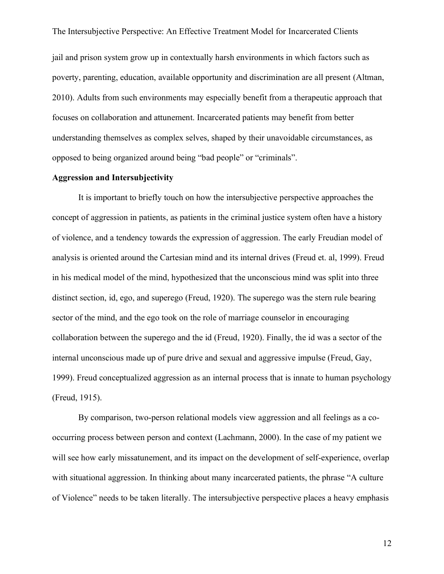jail and prison system grow up in contextually harsh environments in which factors such as poverty, parenting, education, available opportunity and discrimination are all present (Altman, 2010). Adults from such environments may especially benefit from a therapeutic approach that focuses on collaboration and attunement. Incarcerated patients may benefit from better understanding themselves as complex selves, shaped by their unavoidable circumstances, as opposed to being organized around being "bad people" or "criminals".

# **Aggression and Intersubjectivity**

It is important to briefly touch on how the intersubjective perspective approaches the concept of aggression in patients, as patients in the criminal justice system often have a history of violence, and a tendency towards the expression of aggression. The early Freudian model of analysis is oriented around the Cartesian mind and its internal drives (Freud et. al, 1999). Freud in his medical model of the mind, hypothesized that the unconscious mind was split into three distinct section, id, ego, and superego (Freud, 1920). The superego was the stern rule bearing sector of the mind, and the ego took on the role of marriage counselor in encouraging collaboration between the superego and the id (Freud, 1920). Finally, the id was a sector of the internal unconscious made up of pure drive and sexual and aggressive impulse (Freud, Gay, 1999). Freud conceptualized aggression as an internal process that is innate to human psychology (Freud, 1915).

By comparison, two-person relational models view aggression and all feelings as a cooccurring process between person and context (Lachmann, 2000). In the case of my patient we will see how early missatunement, and its impact on the development of self-experience, overlap with situational aggression. In thinking about many incarcerated patients, the phrase "A culture" of Violence" needs to be taken literally. The intersubjective perspective places a heavy emphasis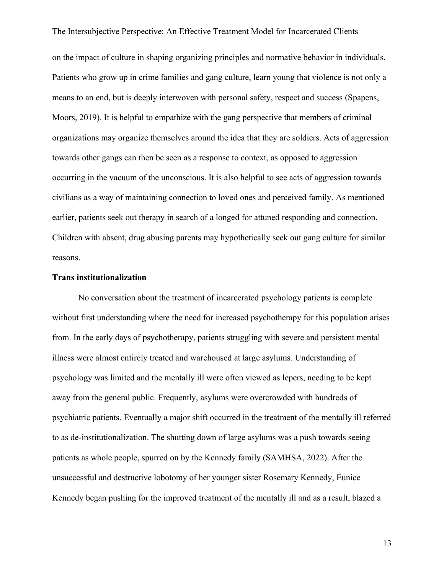on the impact of culture in shaping organizing principles and normative behavior in individuals. Patients who grow up in crime families and gang culture, learn young that violence is not only a means to an end, but is deeply interwoven with personal safety, respect and success (Spapens, Moors, 2019). It is helpful to empathize with the gang perspective that members of criminal organizations may organize themselves around the idea that they are soldiers. Acts of aggression towards other gangs can then be seen as a response to context, as opposed to aggression occurring in the vacuum of the unconscious. It is also helpful to see acts of aggression towards civilians as a way of maintaining connection to loved ones and perceived family. As mentioned earlier, patients seek out therapy in search of a longed for attuned responding and connection. Children with absent, drug abusing parents may hypothetically seek out gang culture for similar reasons.

#### **Trans institutionalization**

No conversation about the treatment of incarcerated psychology patients is complete without first understanding where the need for increased psychotherapy for this population arises from. In the early days of psychotherapy, patients struggling with severe and persistent mental illness were almost entirely treated and warehoused at large asylums. Understanding of psychology was limited and the mentally ill were often viewed as lepers, needing to be kept away from the general public. Frequently, asylums were overcrowded with hundreds of psychiatric patients. Eventually a major shift occurred in the treatment of the mentally ill referred to as de-institutionalization. The shutting down of large asylums was a push towards seeing patients as whole people, spurred on by the Kennedy family (SAMHSA, 2022). After the unsuccessful and destructive lobotomy of her younger sister Rosemary Kennedy, Eunice Kennedy began pushing for the improved treatment of the mentally ill and as a result, blazed a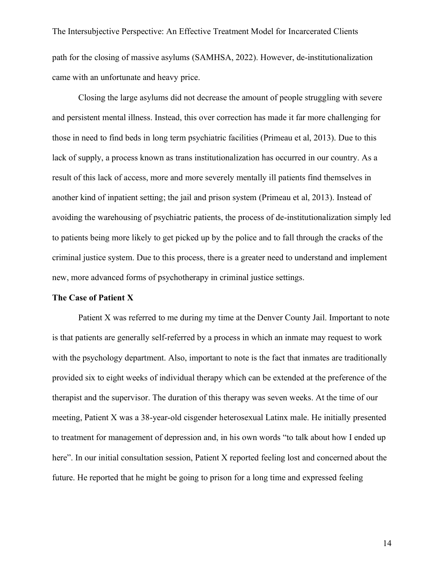The Intersubjective Perspective: An Effective Treatment Model for Incarcerated Clients path for the closing of massive asylums (SAMHSA, 2022). However, de-institutionalization came with an unfortunate and heavy price.

Closing the large asylums did not decrease the amount of people struggling with severe and persistent mental illness. Instead, this over correction has made it far more challenging for those in need to find beds in long term psychiatric facilities (Primeau et al, 2013). Due to this lack of supply, a process known as trans institutionalization has occurred in our country. As a result of this lack of access, more and more severely mentally ill patients find themselves in another kind of inpatient setting; the jail and prison system (Primeau et al, 2013). Instead of avoiding the warehousing of psychiatric patients, the process of de-institutionalization simply led to patients being more likely to get picked up by the police and to fall through the cracks of the criminal justice system. Due to this process, there is a greater need to understand and implement new, more advanced forms of psychotherapy in criminal justice settings.

#### **The Case of Patient X**

Patient X was referred to me during my time at the Denver County Jail. Important to note is that patients are generally self-referred by a process in which an inmate may request to work with the psychology department. Also, important to note is the fact that inmates are traditionally provided six to eight weeks of individual therapy which can be extended at the preference of the therapist and the supervisor. The duration of this therapy was seven weeks. At the time of our meeting, Patient X was a 38-year-old cisgender heterosexual Latinx male. He initially presented to treatment for management of depression and, in his own words "to talk about how I ended up here". In our initial consultation session, Patient X reported feeling lost and concerned about the future. He reported that he might be going to prison for a long time and expressed feeling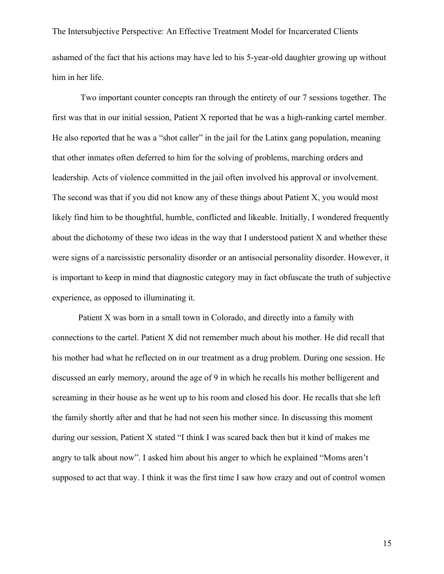The Intersubjective Perspective: An Effective Treatment Model for Incarcerated Clients ashamed of the fact that his actions may have led to his 5-year-old daughter growing up without him in her life.

Two important counter concepts ran through the entirety of our 7 sessions together. The first was that in our initial session, Patient X reported that he was a high-ranking cartel member. He also reported that he was a "shot caller" in the jail for the Latinx gang population, meaning that other inmates often deferred to him for the solving of problems, marching orders and leadership. Acts of violence committed in the jail often involved his approval or involvement. The second was that if you did not know any of these things about Patient X, you would most likely find him to be thoughtful, humble, conflicted and likeable. Initially, I wondered frequently about the dichotomy of these two ideas in the way that I understood patient X and whether these were signs of a narcissistic personality disorder or an antisocial personality disorder. However, it is important to keep in mind that diagnostic category may in fact obfuscate the truth of subjective experience, as opposed to illuminating it.

Patient X was born in a small town in Colorado, and directly into a family with connections to the cartel. Patient X did not remember much about his mother. He did recall that his mother had what he reflected on in our treatment as a drug problem. During one session. He discussed an early memory, around the age of 9 in which he recalls his mother belligerent and screaming in their house as he went up to his room and closed his door. He recalls that she left the family shortly after and that he had not seen his mother since. In discussing this moment during our session, Patient X stated "I think I was scared back then but it kind of makes me angry to talk about now". I asked him about his anger to which he explained "Moms aren't supposed to act that way. I think it was the first time I saw how crazy and out of control women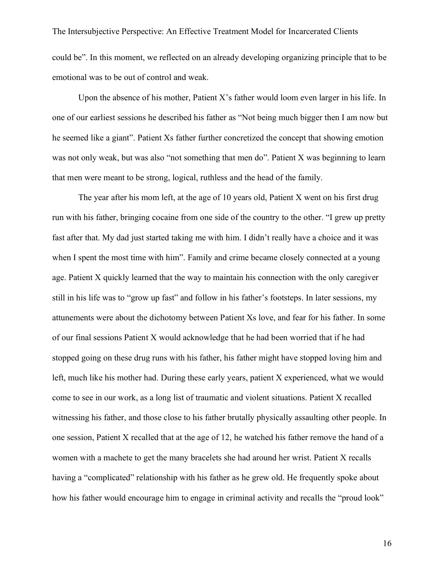The Intersubjective Perspective: An Effective Treatment Model for Incarcerated Clients could be". In this moment, we reflected on an already developing organizing principle that to be emotional was to be out of control and weak.

Upon the absence of his mother, Patient X's father would loom even larger in his life. In one of our earliest sessions he described his father as "Not being much bigger then I am now but he seemed like a giant". Patient Xs father further concretized the concept that showing emotion was not only weak, but was also "not something that men do". Patient X was beginning to learn that men were meant to be strong, logical, ruthless and the head of the family.

The year after his mom left, at the age of 10 years old, Patient X went on his first drug run with his father, bringing cocaine from one side of the country to the other. "I grew up pretty fast after that. My dad just started taking me with him. I didn't really have a choice and it was when I spent the most time with him". Family and crime became closely connected at a young age. Patient X quickly learned that the way to maintain his connection with the only caregiver still in his life was to "grow up fast" and follow in his father's footsteps. In later sessions, my attunements were about the dichotomy between Patient Xs love, and fear for his father. In some of our final sessions Patient X would acknowledge that he had been worried that if he had stopped going on these drug runs with his father, his father might have stopped loving him and left, much like his mother had. During these early years, patient X experienced, what we would come to see in our work, as a long list of traumatic and violent situations. Patient X recalled witnessing his father, and those close to his father brutally physically assaulting other people. In one session, Patient X recalled that at the age of 12, he watched his father remove the hand of a women with a machete to get the many bracelets she had around her wrist. Patient X recalls having a "complicated" relationship with his father as he grew old. He frequently spoke about how his father would encourage him to engage in criminal activity and recalls the "proud look"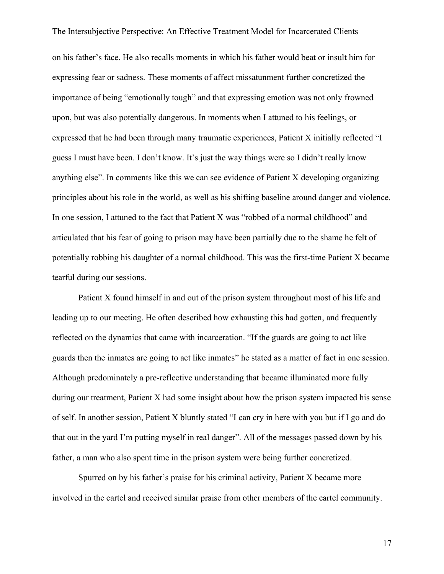The Intersubjective Perspective: An Effective Treatment Model for Incarcerated Clients on his father's face. He also recalls moments in which his father would beat or insult him for expressing fear or sadness. These moments of affect missatunment further concretized the importance of being "emotionally tough" and that expressing emotion was not only frowned upon, but was also potentially dangerous. In moments when I attuned to his feelings, or expressed that he had been through many traumatic experiences, Patient X initially reflected "I guess I must have been. I don't know. It's just the way things were so I didn't really know anything else". In comments like this we can see evidence of Patient X developing organizing principles about his role in the world, as well as his shifting baseline around danger and violence. In one session, I attuned to the fact that Patient X was "robbed of a normal childhood" and articulated that his fear of going to prison may have been partially due to the shame he felt of potentially robbing his daughter of a normal childhood. This was the first-time Patient X became tearful during our sessions.

Patient X found himself in and out of the prison system throughout most of his life and leading up to our meeting. He often described how exhausting this had gotten, and frequently reflected on the dynamics that came with incarceration. "If the guards are going to act like guards then the inmates are going to act like inmates" he stated as a matter of fact in one session. Although predominately a pre-reflective understanding that became illuminated more fully during our treatment, Patient X had some insight about how the prison system impacted his sense of self. In another session, Patient X bluntly stated "I can cry in here with you but if I go and do that out in the yard I'm putting myself in real danger". All of the messages passed down by his father, a man who also spent time in the prison system were being further concretized.

Spurred on by his father's praise for his criminal activity, Patient X became more involved in the cartel and received similar praise from other members of the cartel community.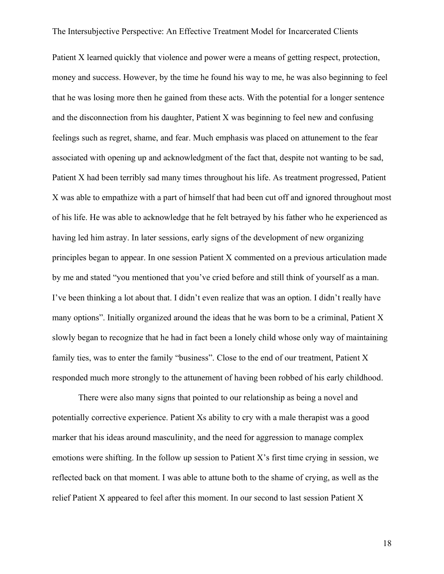Patient X learned quickly that violence and power were a means of getting respect, protection, money and success. However, by the time he found his way to me, he was also beginning to feel that he was losing more then he gained from these acts. With the potential for a longer sentence and the disconnection from his daughter, Patient X was beginning to feel new and confusing feelings such as regret, shame, and fear. Much emphasis was placed on attunement to the fear associated with opening up and acknowledgment of the fact that, despite not wanting to be sad, Patient X had been terribly sad many times throughout his life. As treatment progressed, Patient X was able to empathize with a part of himself that had been cut off and ignored throughout most of his life. He was able to acknowledge that he felt betrayed by his father who he experienced as having led him astray. In later sessions, early signs of the development of new organizing principles began to appear. In one session Patient X commented on a previous articulation made by me and stated "you mentioned that you've cried before and still think of yourself as a man. I've been thinking a lot about that. I didn't even realize that was an option. I didn't really have many options". Initially organized around the ideas that he was born to be a criminal, Patient X slowly began to recognize that he had in fact been a lonely child whose only way of maintaining family ties, was to enter the family "business". Close to the end of our treatment, Patient X responded much more strongly to the attunement of having been robbed of his early childhood.

There were also many signs that pointed to our relationship as being a novel and potentially corrective experience. Patient Xs ability to cry with a male therapist was a good marker that his ideas around masculinity, and the need for aggression to manage complex emotions were shifting. In the follow up session to Patient X's first time crying in session, we reflected back on that moment. I was able to attune both to the shame of crying, as well as the relief Patient X appeared to feel after this moment. In our second to last session Patient X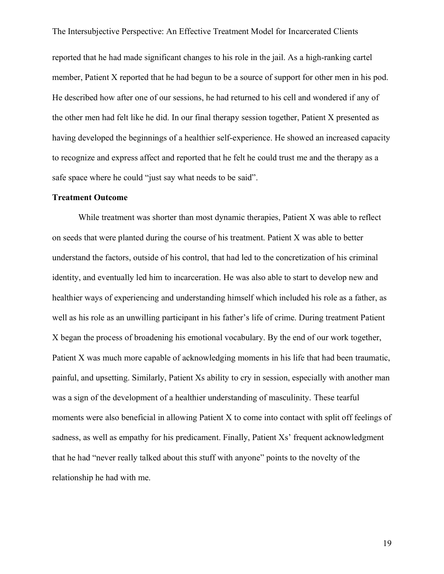reported that he had made significant changes to his role in the jail. As a high-ranking cartel member, Patient X reported that he had begun to be a source of support for other men in his pod. He described how after one of our sessions, he had returned to his cell and wondered if any of the other men had felt like he did. In our final therapy session together, Patient X presented as having developed the beginnings of a healthier self-experience. He showed an increased capacity to recognize and express affect and reported that he felt he could trust me and the therapy as a safe space where he could "just say what needs to be said".

#### **Treatment Outcome**

While treatment was shorter than most dynamic therapies, Patient X was able to reflect on seeds that were planted during the course of his treatment. Patient X was able to better understand the factors, outside of his control, that had led to the concretization of his criminal identity, and eventually led him to incarceration. He was also able to start to develop new and healthier ways of experiencing and understanding himself which included his role as a father, as well as his role as an unwilling participant in his father's life of crime. During treatment Patient X began the process of broadening his emotional vocabulary. By the end of our work together, Patient X was much more capable of acknowledging moments in his life that had been traumatic, painful, and upsetting. Similarly, Patient Xs ability to cry in session, especially with another man was a sign of the development of a healthier understanding of masculinity. These tearful moments were also beneficial in allowing Patient X to come into contact with split off feelings of sadness, as well as empathy for his predicament. Finally, Patient Xs' frequent acknowledgment that he had "never really talked about this stuff with anyone" points to the novelty of the relationship he had with me.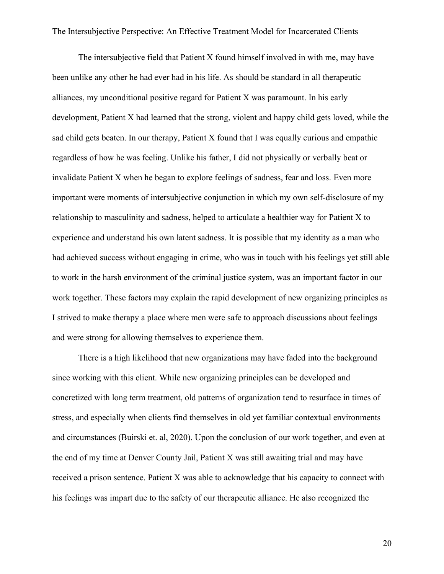The intersubjective field that Patient X found himself involved in with me, may have been unlike any other he had ever had in his life. As should be standard in all therapeutic alliances, my unconditional positive regard for Patient X was paramount. In his early development, Patient X had learned that the strong, violent and happy child gets loved, while the sad child gets beaten. In our therapy, Patient X found that I was equally curious and empathic regardless of how he was feeling. Unlike his father, I did not physically or verbally beat or invalidate Patient X when he began to explore feelings of sadness, fear and loss. Even more important were moments of intersubjective conjunction in which my own self-disclosure of my relationship to masculinity and sadness, helped to articulate a healthier way for Patient X to experience and understand his own latent sadness. It is possible that my identity as a man who had achieved success without engaging in crime, who was in touch with his feelings yet still able to work in the harsh environment of the criminal justice system, was an important factor in our work together. These factors may explain the rapid development of new organizing principles as I strived to make therapy a place where men were safe to approach discussions about feelings and were strong for allowing themselves to experience them.

There is a high likelihood that new organizations may have faded into the background since working with this client. While new organizing principles can be developed and concretized with long term treatment, old patterns of organization tend to resurface in times of stress, and especially when clients find themselves in old yet familiar contextual environments and circumstances (Buirski et. al, 2020). Upon the conclusion of our work together, and even at the end of my time at Denver County Jail, Patient X was still awaiting trial and may have received a prison sentence. Patient X was able to acknowledge that his capacity to connect with his feelings was impart due to the safety of our therapeutic alliance. He also recognized the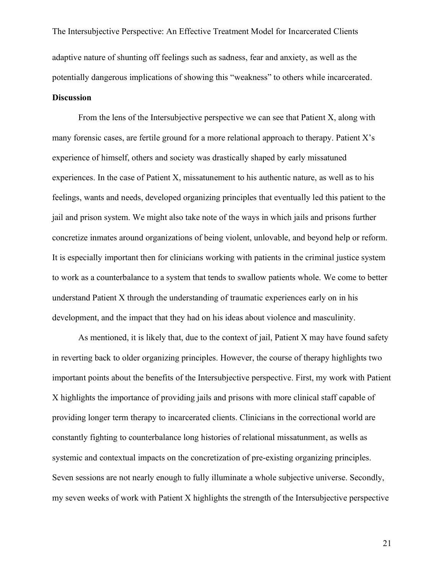The Intersubjective Perspective: An Effective Treatment Model for Incarcerated Clients adaptive nature of shunting off feelings such as sadness, fear and anxiety, as well as the potentially dangerous implications of showing this "weakness" to others while incarcerated. **Discussion**

From the lens of the Intersubjective perspective we can see that Patient X, along with many forensic cases, are fertile ground for a more relational approach to therapy. Patient X's experience of himself, others and society was drastically shaped by early missatuned experiences. In the case of Patient X, missatunement to his authentic nature, as well as to his feelings, wants and needs, developed organizing principles that eventually led this patient to the jail and prison system. We might also take note of the ways in which jails and prisons further concretize inmates around organizations of being violent, unlovable, and beyond help or reform. It is especially important then for clinicians working with patients in the criminal justice system to work as a counterbalance to a system that tends to swallow patients whole. We come to better understand Patient X through the understanding of traumatic experiences early on in his development, and the impact that they had on his ideas about violence and masculinity.

As mentioned, it is likely that, due to the context of jail, Patient X may have found safety in reverting back to older organizing principles. However, the course of therapy highlights two important points about the benefits of the Intersubjective perspective. First, my work with Patient X highlights the importance of providing jails and prisons with more clinical staff capable of providing longer term therapy to incarcerated clients. Clinicians in the correctional world are constantly fighting to counterbalance long histories of relational missatunment, as wells as systemic and contextual impacts on the concretization of pre-existing organizing principles. Seven sessions are not nearly enough to fully illuminate a whole subjective universe. Secondly, my seven weeks of work with Patient X highlights the strength of the Intersubjective perspective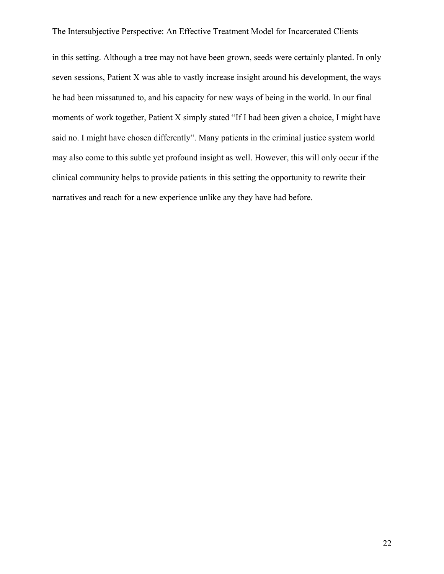in this setting. Although a tree may not have been grown, seeds were certainly planted. In only seven sessions, Patient X was able to vastly increase insight around his development, the ways he had been missatuned to, and his capacity for new ways of being in the world. In our final moments of work together, Patient X simply stated "If I had been given a choice, I might have said no. I might have chosen differently". Many patients in the criminal justice system world may also come to this subtle yet profound insight as well. However, this will only occur if the clinical community helps to provide patients in this setting the opportunity to rewrite their narratives and reach for a new experience unlike any they have had before.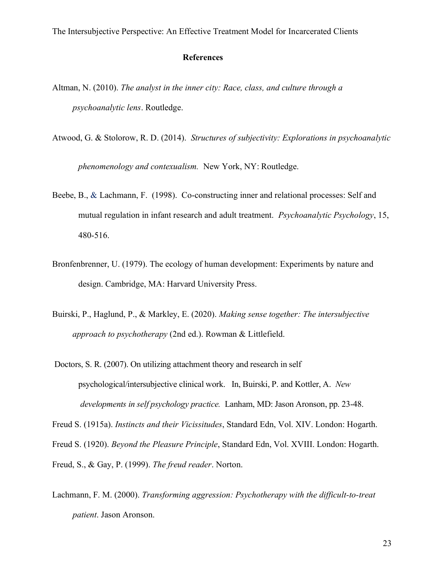# **References**

- Altman, N. (2010). *The analyst in the inner city: Race, class, and culture through a psychoanalytic lens*. Routledge.
- Atwood, G. & Stolorow, R. D. (2014). *Structures of subjectivity: Explorations in psychoanalytic phenomenology and contexualism.* New York, NY: Routledge.
- Beebe, B., & Lachmann, F. (1998). Co-constructing inner and relational processes: Self and mutual regulation in infant research and adult treatment. *Psychoanalytic Psychology*, 15, 480-516.
- Bronfenbrenner, U. (1979). The ecology of human development: Experiments by nature and design. Cambridge, MA: Harvard University Press.
- Buirski, P., Haglund, P., & Markley, E. (2020). *Making sense together: The intersubjective approach to psychotherapy* (2nd ed.). Rowman & Littlefield.
- Doctors, S. R. (2007). On utilizing attachment theory and research in self psychological/intersubjective clinical work. In, Buirski, P. and Kottler, A. *New developments in self psychology practice.* Lanham, MD: Jason Aronson, pp. 23-48.

Freud S. (1920). *Beyond the Pleasure Principle*, Standard Edn, Vol. XVIII. London: Hogarth. Freud, S., & Gay, P. (1999). *The freud reader*. Norton.

Freud S. (1915a). *Instincts and their Vicissitudes*, Standard Edn, Vol. XIV. London: Hogarth.

Lachmann, F. M. (2000). *Transforming aggression: Psychotherapy with the difficult-to-treat patient*. Jason Aronson.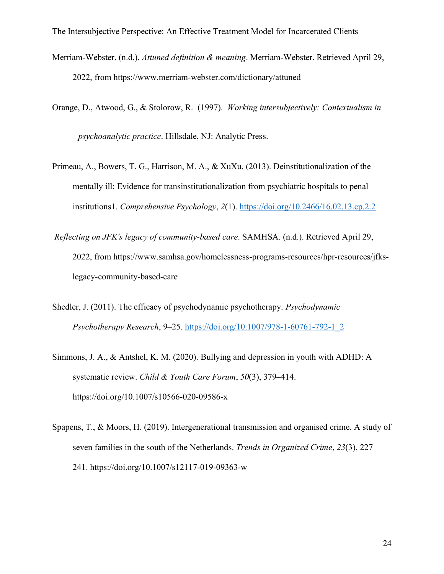- Merriam-Webster. (n.d.). *Attuned definition & meaning*. Merriam-Webster. Retrieved April 29, 2022, from https://www.merriam-webster.com/dictionary/attuned
- Orange, D., Atwood, G., & Stolorow, R. (1997). *Working intersubjectively: Contextualism in*

*psychoanalytic practice*. Hillsdale, NJ: Analytic Press.

- Primeau, A., Bowers, T. G., Harrison, M. A., & XuXu. (2013). Deinstitutionalization of the mentally ill: Evidence for transinstitutionalization from psychiatric hospitals to penal institutions1. *Comprehensive Psychology*, *2*(1).<https://doi.org/10.2466/16.02.13.cp.2.2>
- *Reflecting on JFK's legacy of community-based care*. SAMHSA. (n.d.). Retrieved April 29, 2022, from https://www.samhsa.gov/homelessness-programs-resources/hpr-resources/jfkslegacy-community-based-care
- Shedler, J. (2011). The efficacy of psychodynamic psychotherapy. *Psychodynamic Psychotherapy Research*, 9–25. [https://doi.org/10.1007/978-1-60761-792-1\\_2](https://doi.org/10.1007/978-1-60761-792-1_2)
- Simmons, J. A., & Antshel, K. M. (2020). Bullying and depression in youth with ADHD: A systematic review. *Child & Youth Care Forum*, *50*(3), 379–414. https://doi.org/10.1007/s10566-020-09586-x
- Spapens, T., & Moors, H. (2019). Intergenerational transmission and organised crime. A study of seven families in the south of the Netherlands. *Trends in Organized Crime*, *23*(3), 227– 241. https://doi.org/10.1007/s12117-019-09363-w